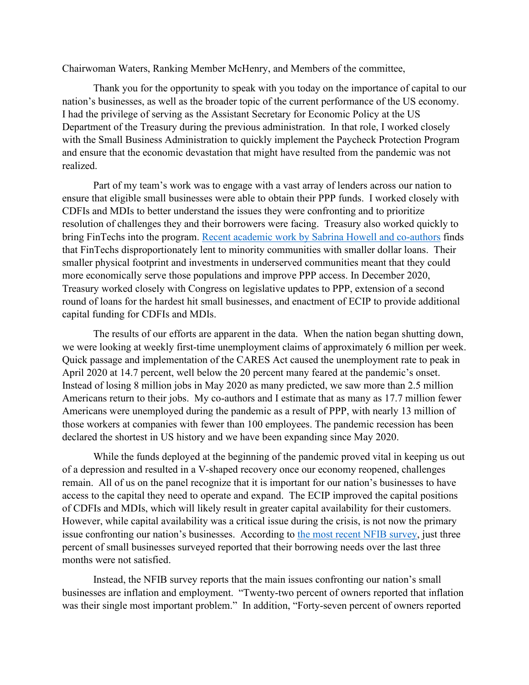Chairwoman Waters, Ranking Member McHenry, and Members of the committee,

Thank you for the opportunity to speak with you today on the importance of capital to our nation's businesses, as well as the broader topic of the current performance of the US economy. I had the privilege of serving as the Assistant Secretary for Economic Policy at the US Department of the Treasury during the previous administration. In that role, I worked closely with the Small Business Administration to quickly implement the Paycheck Protection Program and ensure that the economic devastation that might have resulted from the pandemic was not realized.

Part of my team's work was to engage with a vast array of lenders across our nation to ensure that eligible small businesses were able to obtain their PPP funds. I worked closely with CDFIs and MDIs to better understand the issues they were confronting and to prioritize resolution of challenges they and their borrowers were facing. Treasury also worked quickly to bring FinTechs into the program. Recent [academic work by Sabrina Howell and co-authors](https://www.nber.org/papers/w29364) finds that FinTechs disproportionately lent to minority communities with smaller dollar loans. Their smaller physical footprint and investments in underserved communities meant that they could more economically serve those populations and improve PPP access. In December 2020, Treasury worked closely with Congress on legislative updates to PPP, extension of a second round of loans for the hardest hit small businesses, and enactment of ECIP to provide additional capital funding for CDFIs and MDIs.

The results of our efforts are apparent in the data. When the nation began shutting down, we were looking at weekly first-time unemployment claims of approximately 6 million per week. Quick passage and implementation of the CARES Act caused the unemployment rate to peak in April 2020 at 14.7 percent, well below the 20 percent many feared at the pandemic's onset. Instead of losing 8 million jobs in May 2020 as many predicted, we saw more than 2.5 million Americans return to their jobs. My co-authors and I estimate that as many as 17.7 million fewer Americans were unemployed during the pandemic as a result of PPP, with nearly 13 million of those workers at companies with fewer than 100 employees. The pandemic recession has been declared the shortest in US history and we have been expanding since May 2020.

While the funds deployed at the beginning of the pandemic proved vital in keeping us out of a depression and resulted in a V-shaped recovery once our economy reopened, challenges remain. All of us on the panel recognize that it is important for our nation's businesses to have access to the capital they need to operate and expand. The ECIP improved the capital positions of CDFIs and MDIs, which will likely result in greater capital availability for their customers. However, while capital availability was a critical issue during the crisis, is not now the primary issue confronting our nation's businesses. According to [the most recent NFIB survey,](https://assets.nfib.com/nfibcom/SBET-Jan-2022-Final.pdf) just three percent of small businesses surveyed reported that their borrowing needs over the last three months were not satisfied.

Instead, the NFIB survey reports that the main issues confronting our nation's small businesses are inflation and employment. "Twenty-two percent of owners reported that inflation was their single most important problem." In addition, "Forty-seven percent of owners reported